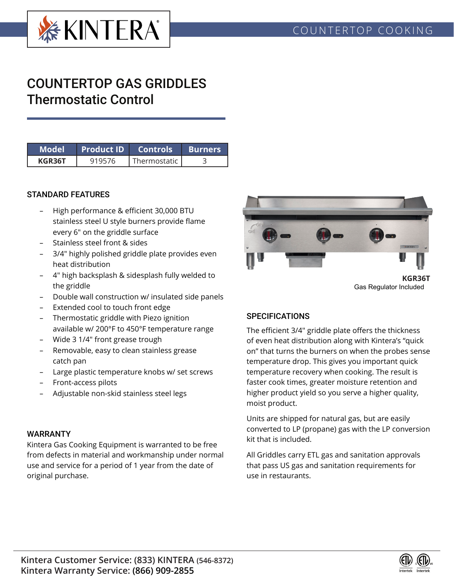

# COUNTERTOP GAS GRIDDLES Thermostatic Control

| Model' | <b>Product ID</b> Controls |              | ∣ Burners |  |  |
|--------|----------------------------|--------------|-----------|--|--|
| KGR36T | 919576                     | Thermostatic |           |  |  |

#### STANDARD FEATURES

- High performance & efficient 30,000 BTU stainless steel U style burners provide flame every 6" on the griddle surface
- Stainless steel front & sides
- 3/4" highly polished griddle plate provides even heat distribution
- 4" high backsplash & sidesplash fully welded to the griddle
- Double wall construction w/ insulated side panels
- Extended cool to touch front edge
- Thermostatic griddle with Piezo ignition available w/ 200°F to 450°F temperature range
- Wide 3 1/4" front grease trough
- Removable, easy to clean stainless grease catch pan
- Large plastic temperature knobs w/ set screws
- Front-access pilots
- Adjustable non-skid stainless steel legs

### WARRANTY

Kintera Gas Cooking Equipment is warranted to be free from defects in material and workmanship under normal use and service for a period of 1 year from the date of original purchase.



Gas Regulator Included

### **SPECIFICATIONS**

The efficient 3/4" griddle plate offers the thickness of even heat distribution along with Kintera's "quick on" that turns the burners on when the probes sense temperature drop. This gives you important quick temperature recovery when cooking. The result is faster cook times, greater moisture retention and higher product yield so you serve a higher quality, moist product.

Units are shipped for natural gas, but are easily converted to LP (propane) gas with the LP conversion kit that is included.

All Griddles carry ETL gas and sanitation approvals that pass US gas and sanitation requirements for use in restaurants.